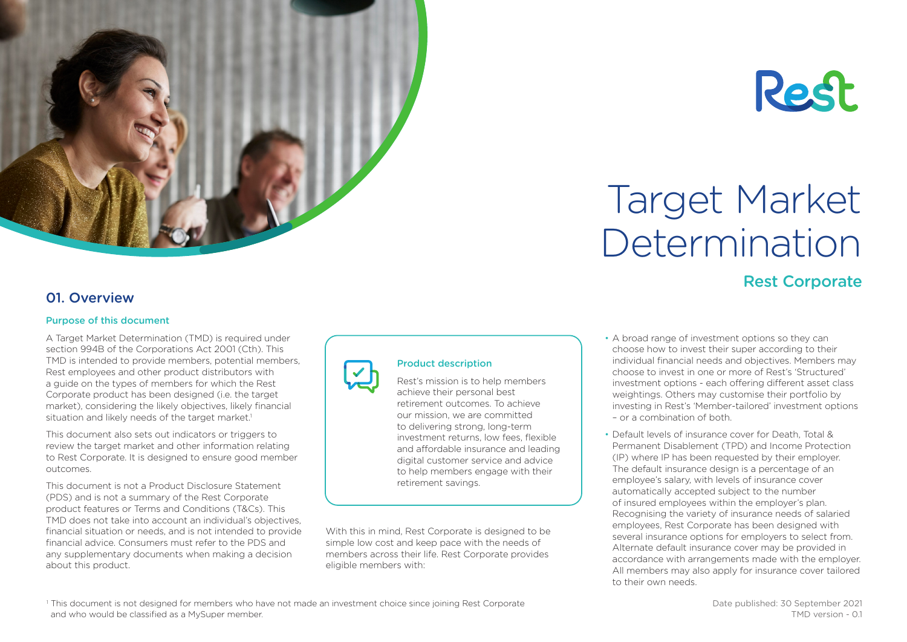



# Target Market Determination

# Rest Corporate

## 01. Overview

#### Purpose of this document

A Target Market Determination (TMD) is required under section 994B of the Corporations Act 2001 (Cth). This TMD is intended to provide members, potential members, Rest employees and other product distributors with a guide on the types of members for which the Rest Corporate product has been designed (i.e. the target market), considering the likely objectives, likely financial situation and likely needs of the target market.<sup>1</sup>

This document also sets out indicators or triggers to review the target market and other information relating to Rest Corporate. It is designed to ensure good member outcomes.

This document is not a Product Disclosure Statement (PDS) and is not a summary of the Rest Corporate product features or Terms and Conditions (T&Cs). This TMD does not take into account an individual's objectives, financial situation or needs, and is not intended to provide financial advice. Consumers must refer to the PDS and any supplementary documents when making a decision about this product.



## Product description

Rest's mission is to help members achieve their personal best retirement outcomes. To achieve our mission, we are committed to delivering strong, long-term investment returns, low fees, flexible and affordable insurance and leading digital customer service and advice to help members engage with their retirement savings.

With this in mind, Rest Corporate is designed to be simple low cost and keep pace with the needs of members across their life. Rest Corporate provides eligible members with:

- A broad range of investment options so they can choose how to invest their super according to their individual financial needs and objectives. Members may choose to invest in one or more of Rest's 'Structured' investment options - each offering different asset class weightings. Others may customise their portfolio by investing in Rest's 'Member-tailored' investment options – or a combination of both.
- Default levels of insurance cover for Death, Total & Permanent Disablement (TPD) and Income Protection (IP) where IP has been requested by their employer. The default insurance design is a percentage of an employee's salary, with levels of insurance cover automatically accepted subject to the number of insured employees within the employer's plan. Recognising the variety of insurance needs of salaried employees, Rest Corporate has been designed with several insurance options for employers to select from. Alternate default insurance cover may be provided in accordance with arrangements made with the employer. All members may also apply for insurance cover tailored to their own needs.

<sup>1</sup> This document is not designed for members who have not made an investment choice since joining Rest Corporate and who would be classified as a MySuper member.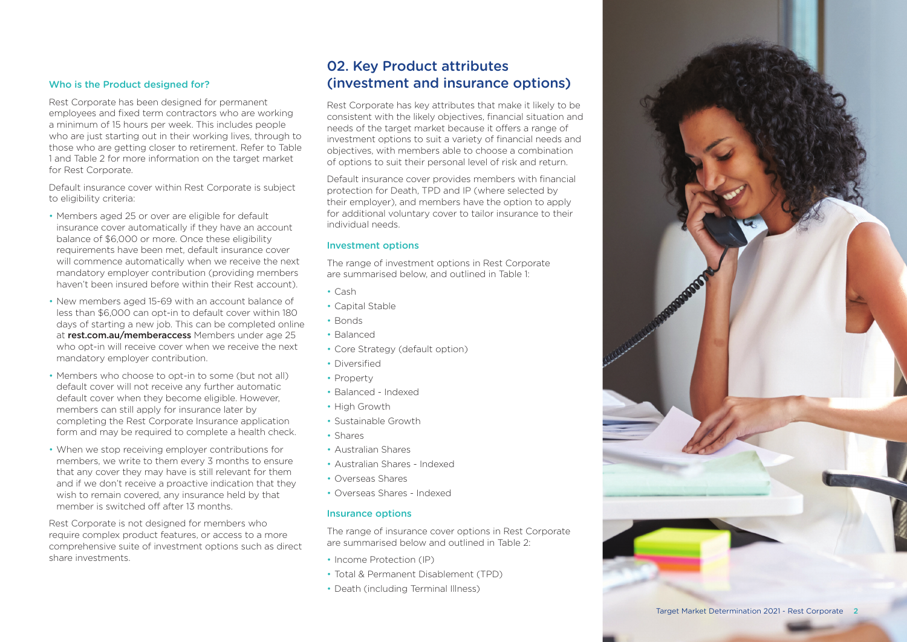#### Who is the Product designed for?

Rest Corporate has been designed for permanent employees and fixed term contractors who are working a minimum of 15 hours per week. This includes people who are just starting out in their working lives, through to those who are getting closer to retirement. Refer to Table 1 and Table 2 for more information on the target market for Rest Corporate.

Default insurance cover within Rest Corporate is subject to eligibility criteria:

- Members aged 25 or over are eligible for default insurance cover automatically if they have an account balance of \$6,000 or more. Once these eligibility requirements have been met, default insurance cover will commence automatically when we receive the next mandatory employer contribution (providing members haven't been insured before within their Rest account).
- New members aged 15-69 with an account balance of less than \$6,000 can opt-in to default cover within 180 days of starting a new job. This can be completed online at [rest.com.au/memberaccess](http://rest.com.au/memberaccess) Members under age 25 who opt-in will receive cover when we receive the next mandatory employer contribution.
- Members who choose to opt-in to some (but not all) default cover will not receive any further automatic default cover when they become eligible. However, members can still apply for insurance later by completing the Rest Corporate Insurance application form and may be required to complete a health check.
- When we stop receiving employer contributions for members, we write to them every 3 months to ensure that any cover they may have is still relevant for them and if we don't receive a proactive indication that they wish to remain covered, any insurance held by that member is switched off after 13 months.

Rest Corporate is not designed for members who require complex product features, or access to a more comprehensive suite of investment options such as direct share investments.

## 02. Key Product attributes (investment and insurance options)

Rest Corporate has key attributes that make it likely to be consistent with the likely objectives, financial situation and needs of the target market because it offers a range of investment options to suit a variety of financial needs and objectives, with members able to choose a combination of options to suit their personal level of risk and return.

Default insurance cover provides members with financial protection for Death, TPD and IP (where selected by their employer), and members have the option to apply for additional voluntary cover to tailor insurance to their individual needs.

#### Investment options

The range of investment options in Rest Corporate are summarised below, and outlined in Table 1: • Cash

- 
- Capital Stable Bonds
- 
- Balanced
- Core Strategy (default option)
- Diversified
- Property
- Balanced Indexed
- High Growth
- Sustainable Growth<br>• Shares
- 
- Australian Shares
- Australian Shares Indexed
- Overseas Shares
- Overseas Shares Indexed

### Insurance options

The range of insurance cover options in Rest Corporate are summarised below and outlined in Table 2: • Income Protection (IP)

- 
- Total & Permanent Disablement (TPD)
- Death (including Terminal Illness)

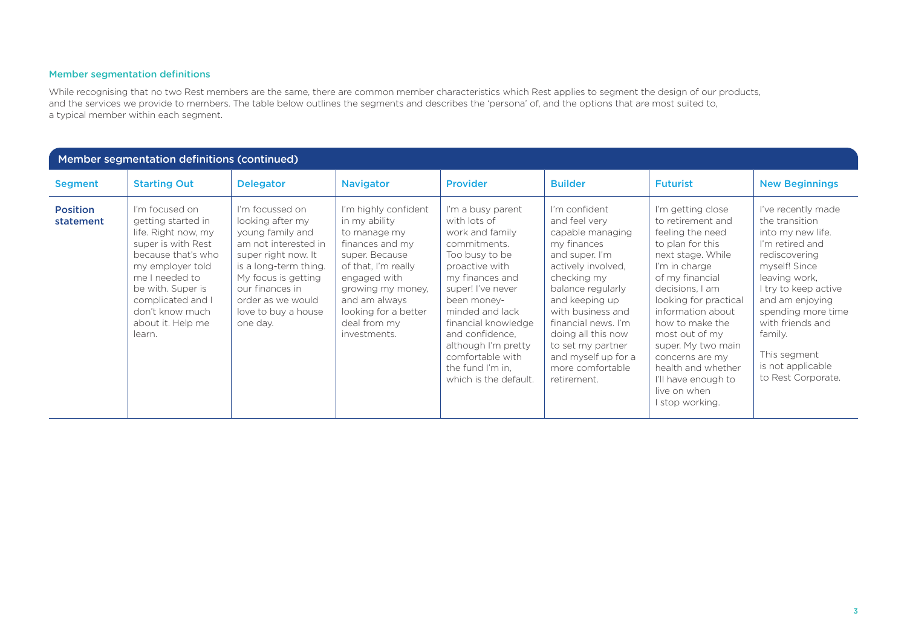### Member segmentation definitions

While recognising that no two Rest members are the same, there are common member characteristics which Rest applies to segment the design of our products, and the services we provide to members. The table below outlines the segments and describes the 'persona' of, and the options that are most suited to, a typical member within each segment.

| Member segmentation definitions (continued) |                                                                                                                                                                                                                                           |                                                                                                                                                                                                                                   |                                                                                                                                                                                                                                 |                                                                                                                                                                                                                                                                                                                      |                                                                                                                                                                                                                                                                                                                  |                                                                                                                                                                                                                                                                                                                                                                        |                                                                                                                                                                                                                                                                                            |
|---------------------------------------------|-------------------------------------------------------------------------------------------------------------------------------------------------------------------------------------------------------------------------------------------|-----------------------------------------------------------------------------------------------------------------------------------------------------------------------------------------------------------------------------------|---------------------------------------------------------------------------------------------------------------------------------------------------------------------------------------------------------------------------------|----------------------------------------------------------------------------------------------------------------------------------------------------------------------------------------------------------------------------------------------------------------------------------------------------------------------|------------------------------------------------------------------------------------------------------------------------------------------------------------------------------------------------------------------------------------------------------------------------------------------------------------------|------------------------------------------------------------------------------------------------------------------------------------------------------------------------------------------------------------------------------------------------------------------------------------------------------------------------------------------------------------------------|--------------------------------------------------------------------------------------------------------------------------------------------------------------------------------------------------------------------------------------------------------------------------------------------|
| <b>Segment</b>                              | <b>Starting Out</b>                                                                                                                                                                                                                       | <b>Delegator</b>                                                                                                                                                                                                                  | <b>Navigator</b>                                                                                                                                                                                                                | <b>Provider</b>                                                                                                                                                                                                                                                                                                      | <b>Builder</b>                                                                                                                                                                                                                                                                                                   | <b>Futurist</b>                                                                                                                                                                                                                                                                                                                                                        | <b>New Beginnings</b>                                                                                                                                                                                                                                                                      |
| <b>Position</b><br>statement                | I'm focused on<br>getting started in<br>life. Right now, my<br>super is with Rest<br>because that's who<br>my employer told<br>me I needed to<br>be with. Super is<br>complicated and I<br>don't know much<br>about it. Help me<br>learn. | I'm focussed on<br>looking after my<br>young family and<br>am not interested in<br>super right now. It<br>is a long-term thing.<br>My focus is getting<br>our finances in<br>order as we would<br>love to buy a house<br>one day. | I'm highly confident<br>in my ability<br>to manage my<br>finances and my<br>super. Because<br>of that, I'm really<br>engaged with<br>growing my money,<br>and am always<br>looking for a better<br>deal from my<br>investments. | I'm a busy parent<br>with lots of<br>work and family<br>commitments.<br>Too busy to be<br>proactive with<br>my finances and<br>super! I've never<br>been money-<br>minded and lack<br>financial knowledge<br>and confidence.<br>although I'm pretty<br>comfortable with<br>the fund I'm in,<br>which is the default. | I'm confident<br>and feel very<br>capable managing<br>my finances<br>and super. I'm<br>actively involved.<br>checking my<br>balance regularly<br>and keeping up<br>with business and<br>financial news. I'm<br>doing all this now<br>to set my partner<br>and myself up for a<br>more comfortable<br>retirement. | I'm getting close<br>to retirement and<br>feeling the need<br>to plan for this<br>next stage. While<br>I'm in charge<br>of my financial<br>decisions. I am<br>looking for practical<br>information about<br>how to make the<br>most out of my<br>super. My two main<br>concerns are my<br>health and whether<br>I'll have enough to<br>live on when<br>I stop working. | I've recently made<br>the transition<br>into my new life.<br>I'm retired and<br>rediscovering<br>myself! Since<br>leaving work,<br>I try to keep active<br>and am enjoying<br>spending more time<br>with friends and<br>family.<br>This segment<br>is not applicable<br>to Rest Corporate. |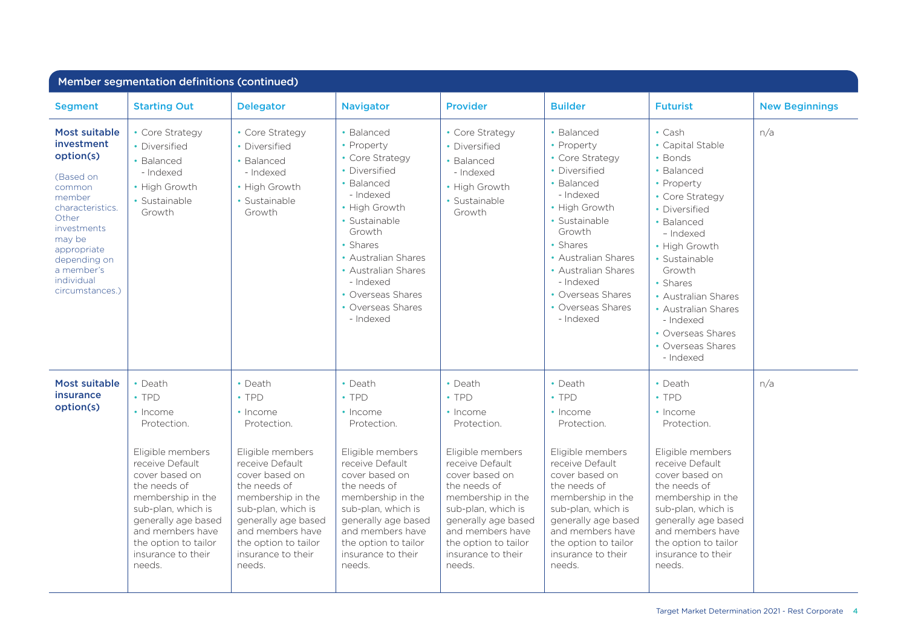| Member segmentation definitions (continued)                                                                                                                                                                                 |                                                                                                                                                                                                                                                                          |                                                                                                                                                                                                                                                                          |                                                                                                                                                                                                                                                                          |                                                                                                                                                                                                                                                                          |                                                                                                                                                                                                                                                                          |                                                                                                                                                                                                                                                                                                                  |                       |
|-----------------------------------------------------------------------------------------------------------------------------------------------------------------------------------------------------------------------------|--------------------------------------------------------------------------------------------------------------------------------------------------------------------------------------------------------------------------------------------------------------------------|--------------------------------------------------------------------------------------------------------------------------------------------------------------------------------------------------------------------------------------------------------------------------|--------------------------------------------------------------------------------------------------------------------------------------------------------------------------------------------------------------------------------------------------------------------------|--------------------------------------------------------------------------------------------------------------------------------------------------------------------------------------------------------------------------------------------------------------------------|--------------------------------------------------------------------------------------------------------------------------------------------------------------------------------------------------------------------------------------------------------------------------|------------------------------------------------------------------------------------------------------------------------------------------------------------------------------------------------------------------------------------------------------------------------------------------------------------------|-----------------------|
| <b>Segment</b>                                                                                                                                                                                                              | <b>Starting Out</b>                                                                                                                                                                                                                                                      | <b>Delegator</b>                                                                                                                                                                                                                                                         | <b>Navigator</b>                                                                                                                                                                                                                                                         | Provider                                                                                                                                                                                                                                                                 | <b>Builder</b>                                                                                                                                                                                                                                                           | <b>Futurist</b>                                                                                                                                                                                                                                                                                                  | <b>New Beginnings</b> |
| <b>Most suitable</b><br><i>investment</i><br>option(s)<br>(Based on<br>common<br>member<br>characteristics.<br>Other<br>investments<br>may be<br>appropriate<br>depending on<br>a member's<br>individual<br>circumstances.) | • Core Strategy<br>• Diversified<br>• Balanced<br>- Indexed<br>• High Growth<br>• Sustainable<br>Growth                                                                                                                                                                  | • Core Strategy<br>• Diversified<br>• Balanced<br>- Indexed<br>• High Growth<br>• Sustainable<br>Growth                                                                                                                                                                  | • Balanced<br>• Property<br>• Core Strategy<br>• Diversified<br>• Balanced<br>- Indexed<br>• High Growth<br>• Sustainable<br>Growth<br>• Shares<br>• Australian Shares<br>• Australian Shares<br>- Indexed<br>• Overseas Shares<br>• Overseas Shares<br>- Indexed        | • Core Strategy<br>• Diversified<br>• Balanced<br>- Indexed<br>• High Growth<br>• Sustainable<br>Growth                                                                                                                                                                  | • Balanced<br>• Property<br>• Core Strategy<br>• Diversified<br>• Balanced<br>- Indexed<br>• High Growth<br>· Sustainable<br>Growth<br>• Shares<br>• Australian Shares<br>• Australian Shares<br>- Indexed<br>• Overseas Shares<br>• Overseas Shares<br>- Indexed        | $\cdot$ Cash<br>• Capital Stable<br>• Bonds<br>• Balanced<br>• Property<br>• Core Strategy<br>• Diversified<br>• Balanced<br>- Indexed<br>• High Growth<br>• Sustainable<br>Growth<br>• Shares<br>• Australian Shares<br>• Australian Shares<br>- Indexed<br>• Overseas Shares<br>• Overseas Shares<br>- Indexed | n/a                   |
| Most suitable<br><b>insurance</b><br>option(s)                                                                                                                                                                              | • Death<br>$\cdot$ TPD<br>• Income<br>Protection.<br>Eligible members<br>receive Default<br>cover based on<br>the needs of<br>membership in the<br>sub-plan, which is<br>generally age based<br>and members have<br>the option to tailor<br>insurance to their<br>needs. | • Death<br>$\cdot$ TPD<br>• Income<br>Protection.<br>Eligible members<br>receive Default<br>cover based on<br>the needs of<br>membership in the<br>sub-plan, which is<br>generally age based<br>and members have<br>the option to tailor<br>insurance to their<br>needs. | • Death<br>$\cdot$ TPD<br>• Income<br>Protection.<br>Eligible members<br>receive Default<br>cover based on<br>the needs of<br>membership in the<br>sub-plan, which is<br>generally age based<br>and members have<br>the option to tailor<br>insurance to their<br>needs. | • Death<br>$\cdot$ TPD<br>• Income<br>Protection.<br>Eligible members<br>receive Default<br>cover based on<br>the needs of<br>membership in the<br>sub-plan, which is<br>generally age based<br>and members have<br>the option to tailor<br>insurance to their<br>needs. | • Death<br>$\cdot$ TPD<br>• Income<br>Protection.<br>Eligible members<br>receive Default<br>cover based on<br>the needs of<br>membership in the<br>sub-plan, which is<br>generally age based<br>and members have<br>the option to tailor<br>insurance to their<br>needs. | $\cdot$ Death<br>$\cdot$ TPD<br>• Income<br>Protection.<br>Eligible members<br>receive Default<br>cover based on<br>the needs of<br>membership in the<br>sub-plan, which is<br>generally age based<br>and members have<br>the option to tailor<br>insurance to their<br>needs.                                   | n/a                   |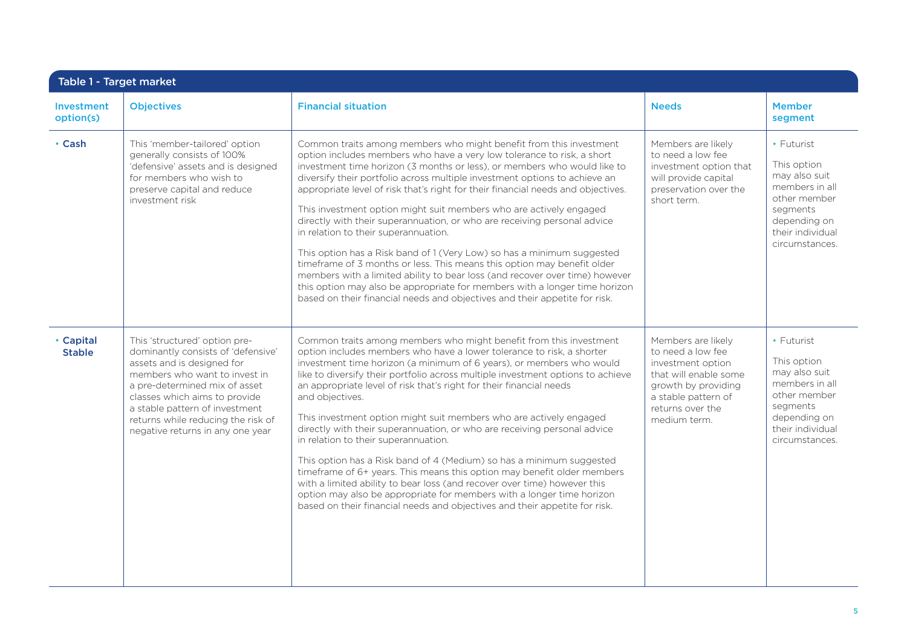| <b>Investment</b><br>option(s) | <b>Objectives</b>                                                                                                                                                                                                                                                                                                | <b>Financial situation</b>                                                                                                                                                                                                                                                                                                                                                                                                                                                                                                                                                                                                                                                                                                                                                                                                                                                                                                                                                           | <b>Needs</b>                                                                                                                                                            | <b>Member</b><br>segment                                                                                                                       |
|--------------------------------|------------------------------------------------------------------------------------------------------------------------------------------------------------------------------------------------------------------------------------------------------------------------------------------------------------------|--------------------------------------------------------------------------------------------------------------------------------------------------------------------------------------------------------------------------------------------------------------------------------------------------------------------------------------------------------------------------------------------------------------------------------------------------------------------------------------------------------------------------------------------------------------------------------------------------------------------------------------------------------------------------------------------------------------------------------------------------------------------------------------------------------------------------------------------------------------------------------------------------------------------------------------------------------------------------------------|-------------------------------------------------------------------------------------------------------------------------------------------------------------------------|------------------------------------------------------------------------------------------------------------------------------------------------|
| • Cash                         | This 'member-tailored' option<br>generally consists of 100%<br>'defensive' assets and is designed<br>for members who wish to<br>preserve capital and reduce<br>investment risk                                                                                                                                   | Common traits among members who might benefit from this investment<br>option includes members who have a very low tolerance to risk, a short<br>investment time horizon (3 months or less), or members who would like to<br>diversify their portfolio across multiple investment options to achieve an<br>appropriate level of risk that's right for their financial needs and objectives.<br>This investment option might suit members who are actively engaged<br>directly with their superannuation, or who are receiving personal advice<br>in relation to their superannuation.<br>This option has a Risk band of 1 (Very Low) so has a minimum suggested<br>timeframe of 3 months or less. This means this option may benefit older<br>members with a limited ability to bear loss (and recover over time) however<br>this option may also be appropriate for members with a longer time horizon<br>based on their financial needs and objectives and their appetite for risk. | Members are likely<br>to need a low fee<br>investment option that<br>will provide capital<br>preservation over the<br>short term.                                       | • Futurist<br>This option<br>may also suit<br>members in all<br>other member<br>segments<br>depending on<br>their individual<br>circumstances. |
| • Capital<br><b>Stable</b>     | This 'structured' option pre-<br>dominantly consists of 'defensive'<br>assets and is designed for<br>members who want to invest in<br>a pre-determined mix of asset<br>classes which aims to provide<br>a stable pattern of investment<br>returns while reducing the risk of<br>negative returns in any one year | Common traits among members who might benefit from this investment<br>option includes members who have a lower tolerance to risk, a shorter<br>investment time horizon (a minimum of 6 years), or members who would<br>like to diversify their portfolio across multiple investment options to achieve<br>an appropriate level of risk that's right for their financial needs<br>and objectives.<br>This investment option might suit members who are actively engaged<br>directly with their superannuation, or who are receiving personal advice<br>in relation to their superannuation.<br>This option has a Risk band of 4 (Medium) so has a minimum suggested<br>timeframe of 6+ years. This means this option may benefit older members<br>with a limited ability to bear loss (and recover over time) however this<br>option may also be appropriate for members with a longer time horizon<br>based on their financial needs and objectives and their appetite for risk.     | Members are likely<br>to need a low fee<br>investment option<br>that will enable some<br>growth by providing<br>a stable pattern of<br>returns over the<br>medium term. | • Futurist<br>This option<br>may also suit<br>members in all<br>other member<br>segments<br>depending on<br>their individual<br>circumstances. |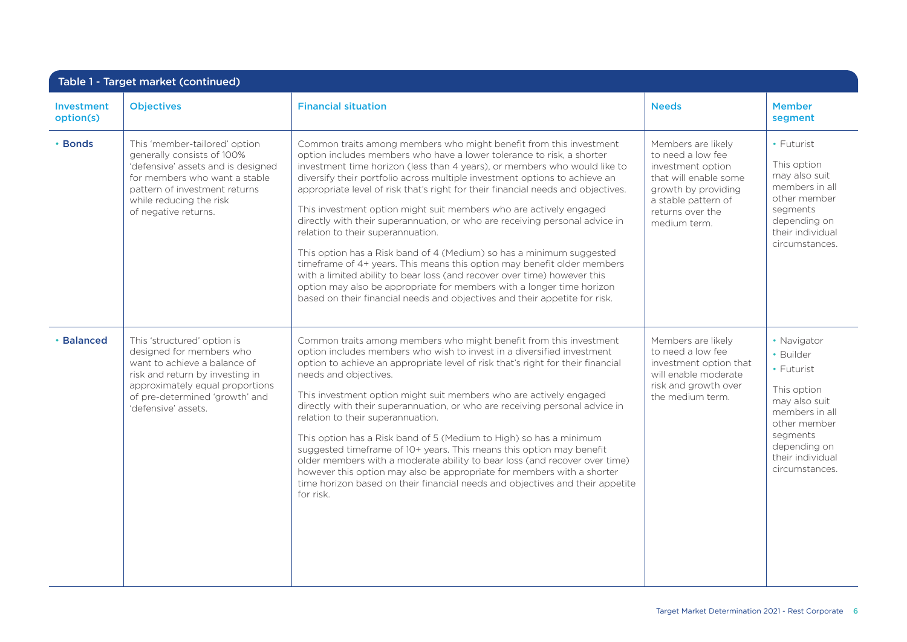| Investment<br>option(s) | <b>Objectives</b>                                                                                                                                                                                                      | <b>Financial situation</b>                                                                                                                                                                                                                                                                                                                                                                                                                                                                                                                                                                                                                                                                                                                                                                                                                                                                                                                                                 | <b>Needs</b>                                                                                                                                                            | <b>Member</b><br>segment                                                                                                                                                   |
|-------------------------|------------------------------------------------------------------------------------------------------------------------------------------------------------------------------------------------------------------------|----------------------------------------------------------------------------------------------------------------------------------------------------------------------------------------------------------------------------------------------------------------------------------------------------------------------------------------------------------------------------------------------------------------------------------------------------------------------------------------------------------------------------------------------------------------------------------------------------------------------------------------------------------------------------------------------------------------------------------------------------------------------------------------------------------------------------------------------------------------------------------------------------------------------------------------------------------------------------|-------------------------------------------------------------------------------------------------------------------------------------------------------------------------|----------------------------------------------------------------------------------------------------------------------------------------------------------------------------|
| • Bonds                 | This 'member-tailored' option<br>generally consists of 100%<br>'defensive' assets and is designed<br>for members who want a stable<br>pattern of investment returns<br>while reducing the risk<br>of negative returns. | Common traits among members who might benefit from this investment<br>option includes members who have a lower tolerance to risk, a shorter<br>investment time horizon (less than 4 years), or members who would like to<br>diversify their portfolio across multiple investment options to achieve an<br>appropriate level of risk that's right for their financial needs and objectives.<br>This investment option might suit members who are actively engaged<br>directly with their superannuation, or who are receiving personal advice in<br>relation to their superannuation.<br>This option has a Risk band of 4 (Medium) so has a minimum suggested<br>timeframe of 4+ years. This means this option may benefit older members<br>with a limited ability to bear loss (and recover over time) however this<br>option may also be appropriate for members with a longer time horizon<br>based on their financial needs and objectives and their appetite for risk. | Members are likely<br>to need a low fee<br>investment option<br>that will enable some<br>growth by providing<br>a stable pattern of<br>returns over the<br>medium term. | • Futurist<br>This option<br>may also suit<br>members in all<br>other member<br>segments<br>depending on<br>their individual<br>circumstances.                             |
| • Balanced              | This 'structured' option is<br>designed for members who<br>want to achieve a balance of<br>risk and return by investing in<br>approximately equal proportions<br>of pre-determined 'growth' and<br>'defensive' assets. | Common traits among members who might benefit from this investment<br>option includes members who wish to invest in a diversified investment<br>option to achieve an appropriate level of risk that's right for their financial<br>needs and objectives.<br>This investment option might suit members who are actively engaged<br>directly with their superannuation, or who are receiving personal advice in<br>relation to their superannuation.<br>This option has a Risk band of 5 (Medium to High) so has a minimum<br>suggested timeframe of 10+ years. This means this option may benefit<br>older members with a moderate ability to bear loss (and recover over time)<br>however this option may also be appropriate for members with a shorter<br>time horizon based on their financial needs and objectives and their appetite<br>for risk.                                                                                                                     | Members are likely<br>to need a low fee<br>investment option that<br>will enable moderate<br>risk and growth over<br>the medium term.                                   | • Navigator<br>• Builder<br>• Futurist<br>This option<br>may also suit<br>members in all<br>other member<br>segments<br>depending on<br>their individual<br>circumstances. |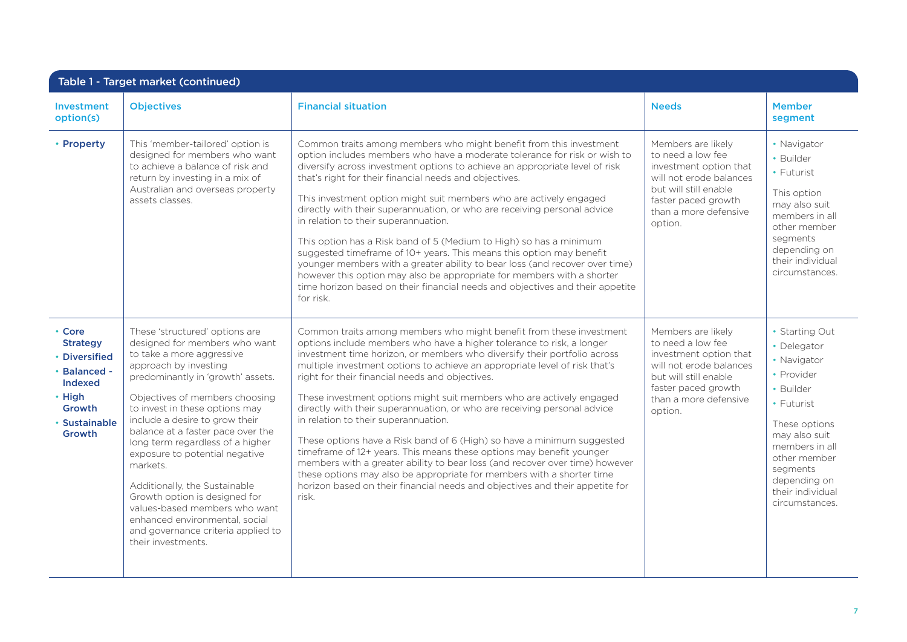| Table 1 - Target market (continued)                                                                                         |                                                                                                                                                                                                                                                                                                                                                                                                                                                                                                                                                                                          |                                                                                                                                                                                                                                                                                                                                                                                                                                                                                                                                                                                                                                                                                                                                                                                                                                                                                                                                                          |                                                                                                                                                                                  |                                                                                                                                                                                                                             |  |  |
|-----------------------------------------------------------------------------------------------------------------------------|------------------------------------------------------------------------------------------------------------------------------------------------------------------------------------------------------------------------------------------------------------------------------------------------------------------------------------------------------------------------------------------------------------------------------------------------------------------------------------------------------------------------------------------------------------------------------------------|----------------------------------------------------------------------------------------------------------------------------------------------------------------------------------------------------------------------------------------------------------------------------------------------------------------------------------------------------------------------------------------------------------------------------------------------------------------------------------------------------------------------------------------------------------------------------------------------------------------------------------------------------------------------------------------------------------------------------------------------------------------------------------------------------------------------------------------------------------------------------------------------------------------------------------------------------------|----------------------------------------------------------------------------------------------------------------------------------------------------------------------------------|-----------------------------------------------------------------------------------------------------------------------------------------------------------------------------------------------------------------------------|--|--|
| Investment<br>option(s)                                                                                                     | <b>Objectives</b>                                                                                                                                                                                                                                                                                                                                                                                                                                                                                                                                                                        | <b>Financial situation</b>                                                                                                                                                                                                                                                                                                                                                                                                                                                                                                                                                                                                                                                                                                                                                                                                                                                                                                                               | <b>Needs</b>                                                                                                                                                                     | <b>Member</b><br>segment                                                                                                                                                                                                    |  |  |
| • Property                                                                                                                  | This 'member-tailored' option is<br>designed for members who want<br>to achieve a balance of risk and<br>return by investing in a mix of<br>Australian and overseas property<br>assets classes.                                                                                                                                                                                                                                                                                                                                                                                          | Common traits among members who might benefit from this investment<br>option includes members who have a moderate tolerance for risk or wish to<br>diversify across investment options to achieve an appropriate level of risk<br>that's right for their financial needs and objectives.<br>This investment option might suit members who are actively engaged<br>directly with their superannuation, or who are receiving personal advice<br>in relation to their superannuation.<br>This option has a Risk band of 5 (Medium to High) so has a minimum<br>suggested timeframe of 10+ years. This means this option may benefit<br>younger members with a greater ability to bear loss (and recover over time)<br>however this option may also be appropriate for members with a shorter<br>time horizon based on their financial needs and objectives and their appetite<br>for risk.                                                                  | Members are likely<br>to need a low fee<br>investment option that<br>will not erode balances<br>but will still enable<br>faster paced growth<br>than a more defensive<br>option. | • Navigator<br>• Builder<br>• Futurist<br>This option<br>may also suit<br>members in all<br>other member<br>segments<br>depending on<br>their individual<br>circumstances.                                                  |  |  |
| • Core<br><b>Strategy</b><br>• Diversified<br>· Balanced -<br><b>Indexed</b><br>• High<br>Growth<br>• Sustainable<br>Growth | These 'structured' options are<br>designed for members who want<br>to take a more aggressive<br>approach by investing<br>predominantly in 'growth' assets.<br>Objectives of members choosing<br>to invest in these options may<br>include a desire to grow their<br>balance at a faster pace over the<br>long term regardless of a higher<br>exposure to potential negative<br>markets.<br>Additionally, the Sustainable<br>Growth option is designed for<br>values-based members who want<br>enhanced environmental, social<br>and governance criteria applied to<br>their investments. | Common traits among members who might benefit from these investment<br>options include members who have a higher tolerance to risk, a longer<br>investment time horizon, or members who diversify their portfolio across<br>multiple investment options to achieve an appropriate level of risk that's<br>right for their financial needs and objectives.<br>These investment options might suit members who are actively engaged<br>directly with their superannuation, or who are receiving personal advice<br>in relation to their superannuation.<br>These options have a Risk band of 6 (High) so have a minimum suggested<br>timeframe of 12+ years. This means these options may benefit younger<br>members with a greater ability to bear loss (and recover over time) however<br>these options may also be appropriate for members with a shorter time<br>horizon based on their financial needs and objectives and their appetite for<br>risk. | Members are likely<br>to need a low fee<br>investment option that<br>will not erode balances<br>but will still enable<br>faster paced growth<br>than a more defensive<br>option. | • Starting Out<br>• Delegator<br>• Navigator<br>• Provider<br>• Builder<br>• Futurist<br>These options<br>may also suit<br>members in all<br>other member<br>segments<br>depending on<br>their individual<br>circumstances. |  |  |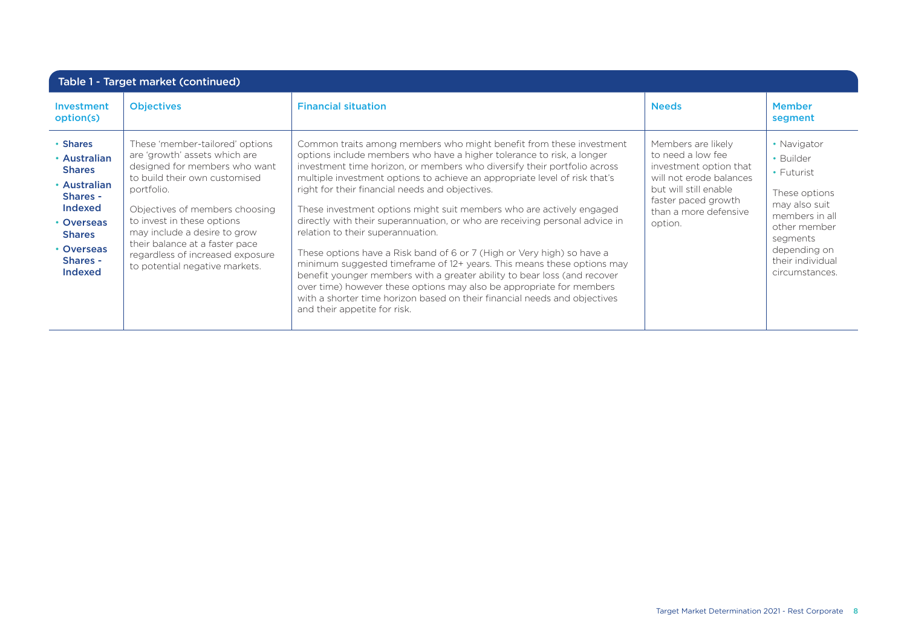| Table 1 - Target market (continued)                                                                                                                         |                                                                                                                                                                                                                                                                                                                                                          |                                                                                                                                                                                                                                                                                                                                                                                                                                                                                                                                                                                                                                                                                                                                                                                                                                                                                                                                                                            |                                                                                                                                                                                  |                                                                                                                                                                                    |  |  |
|-------------------------------------------------------------------------------------------------------------------------------------------------------------|----------------------------------------------------------------------------------------------------------------------------------------------------------------------------------------------------------------------------------------------------------------------------------------------------------------------------------------------------------|----------------------------------------------------------------------------------------------------------------------------------------------------------------------------------------------------------------------------------------------------------------------------------------------------------------------------------------------------------------------------------------------------------------------------------------------------------------------------------------------------------------------------------------------------------------------------------------------------------------------------------------------------------------------------------------------------------------------------------------------------------------------------------------------------------------------------------------------------------------------------------------------------------------------------------------------------------------------------|----------------------------------------------------------------------------------------------------------------------------------------------------------------------------------|------------------------------------------------------------------------------------------------------------------------------------------------------------------------------------|--|--|
| Investment<br>option(s)                                                                                                                                     | <b>Objectives</b>                                                                                                                                                                                                                                                                                                                                        | <b>Financial situation</b>                                                                                                                                                                                                                                                                                                                                                                                                                                                                                                                                                                                                                                                                                                                                                                                                                                                                                                                                                 | <b>Needs</b>                                                                                                                                                                     | <b>Member</b><br>segment                                                                                                                                                           |  |  |
| • Shares<br>• Australian<br><b>Shares</b><br>• Australian<br>Shares -<br>Indexed<br>• Overseas<br><b>Shares</b><br>• Overseas<br>Shares -<br><b>Indexed</b> | These 'member-tailored' options<br>are 'growth' assets which are<br>designed for members who want<br>to build their own customised<br>portfolio.<br>Objectives of members choosing<br>to invest in these options<br>may include a desire to grow<br>their balance at a faster pace<br>regardless of increased exposure<br>to potential negative markets. | Common traits among members who might benefit from these investment<br>options include members who have a higher tolerance to risk, a longer<br>investment time horizon, or members who diversify their portfolio across<br>multiple investment options to achieve an appropriate level of risk that's<br>right for their financial needs and objectives.<br>These investment options might suit members who are actively engaged<br>directly with their superannuation, or who are receiving personal advice in<br>relation to their superannuation.<br>These options have a Risk band of 6 or 7 (High or Very high) so have a<br>minimum suggested timeframe of 12+ years. This means these options may<br>benefit younger members with a greater ability to bear loss (and recover<br>over time) however these options may also be appropriate for members<br>with a shorter time horizon based on their financial needs and objectives<br>and their appetite for risk. | Members are likely<br>to need a low fee<br>investment option that<br>will not erode balances<br>but will still enable<br>faster paced growth<br>than a more defensive<br>option. | • Navigator<br>• Builder<br>$\cdot$ Futurist<br>These options<br>may also suit<br>members in all<br>other member<br>segments<br>depending on<br>their individual<br>circumstances. |  |  |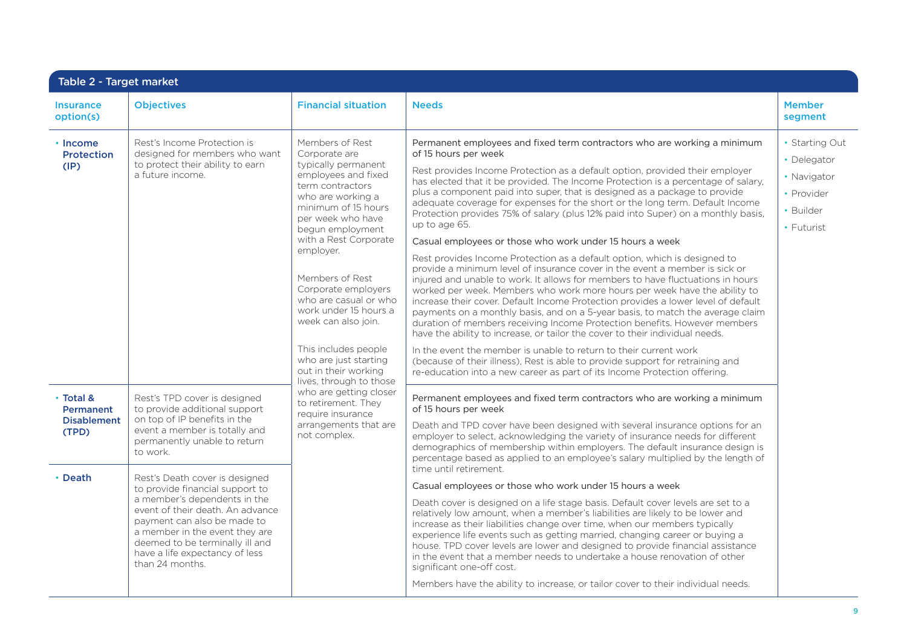| Table 2 - Target market                                          |                                                                                                                                                                                                                                                 |                                                                                                                                                                                                                                                                                                                                                                                                                                                      |                                                                                                                                                                                                                                                                                                                                                                                                                                                                                                                                                                                                                                                                                                                                                                                                                                                                                                                                                                                                                                                                                                                                                                                                                                                                                                                                                                                                                                                                                                           |                                                                                       |  |
|------------------------------------------------------------------|-------------------------------------------------------------------------------------------------------------------------------------------------------------------------------------------------------------------------------------------------|------------------------------------------------------------------------------------------------------------------------------------------------------------------------------------------------------------------------------------------------------------------------------------------------------------------------------------------------------------------------------------------------------------------------------------------------------|-----------------------------------------------------------------------------------------------------------------------------------------------------------------------------------------------------------------------------------------------------------------------------------------------------------------------------------------------------------------------------------------------------------------------------------------------------------------------------------------------------------------------------------------------------------------------------------------------------------------------------------------------------------------------------------------------------------------------------------------------------------------------------------------------------------------------------------------------------------------------------------------------------------------------------------------------------------------------------------------------------------------------------------------------------------------------------------------------------------------------------------------------------------------------------------------------------------------------------------------------------------------------------------------------------------------------------------------------------------------------------------------------------------------------------------------------------------------------------------------------------------|---------------------------------------------------------------------------------------|--|
| <b>Insurance</b><br>option(s)                                    | <b>Objectives</b>                                                                                                                                                                                                                               | <b>Financial situation</b>                                                                                                                                                                                                                                                                                                                                                                                                                           | <b>Needs</b>                                                                                                                                                                                                                                                                                                                                                                                                                                                                                                                                                                                                                                                                                                                                                                                                                                                                                                                                                                                                                                                                                                                                                                                                                                                                                                                                                                                                                                                                                              | <b>Member</b><br>segment                                                              |  |
| • Income<br><b>Protection</b><br>(IP)                            | Rest's Income Protection is<br>designed for members who want<br>to protect their ability to earn<br>a future income.                                                                                                                            | Members of Rest<br>Corporate are<br>typically permanent<br>employees and fixed<br>term contractors<br>who are working a<br>minimum of 15 hours<br>per week who have<br>begun employment<br>with a Rest Corporate<br>employer.<br>Members of Rest<br>Corporate employers<br>who are casual or who<br>work under 15 hours a<br>week can also join.<br>This includes people<br>who are just starting<br>out in their working<br>lives, through to those | Permanent employees and fixed term contractors who are working a minimum<br>of 15 hours per week<br>Rest provides Income Protection as a default option, provided their employer<br>has elected that it be provided. The Income Protection is a percentage of salary,<br>plus a component paid into super, that is designed as a package to provide<br>adequate coverage for expenses for the short or the long term. Default Income<br>Protection provides 75% of salary (plus 12% paid into Super) on a monthly basis,<br>up to age 65.<br>Casual employees or those who work under 15 hours a week<br>Rest provides Income Protection as a default option, which is designed to<br>provide a minimum level of insurance cover in the event a member is sick or<br>injured and unable to work. It allows for members to have fluctuations in hours<br>worked per week. Members who work more hours per week have the ability to<br>increase their cover. Default Income Protection provides a lower level of default<br>payments on a monthly basis, and on a 5-year basis, to match the average claim<br>duration of members receiving Income Protection benefits. However members<br>have the ability to increase, or tailor the cover to their individual needs.<br>In the event the member is unable to return to their current work<br>(because of their illness), Rest is able to provide support for retraining and<br>re-education into a new career as part of its Income Protection offering. | • Starting Out<br>• Delegator<br>• Navigator<br>• Provider<br>• Builder<br>• Futurist |  |
| • Total &<br>Permanent<br><b>Disablement</b><br>(TPD)<br>• Death | Rest's TPD cover is designed<br>to provide additional support<br>on top of IP benefits in the<br>event a member is totally and<br>permanently unable to return<br>to work.<br>Rest's Death cover is designed<br>to provide financial support to | who are getting closer<br>to retirement. They<br>require insurance<br>arrangements that are<br>not complex.                                                                                                                                                                                                                                                                                                                                          | Permanent employees and fixed term contractors who are working a minimum<br>of 15 hours per week<br>Death and TPD cover have been designed with several insurance options for an<br>employer to select, acknowledging the variety of insurance needs for different<br>demographics of membership within employers. The default insurance design is<br>percentage based as applied to an employee's salary multiplied by the length of<br>time until retirement.<br>Casual employees or those who work under 15 hours a week                                                                                                                                                                                                                                                                                                                                                                                                                                                                                                                                                                                                                                                                                                                                                                                                                                                                                                                                                                               |                                                                                       |  |
|                                                                  | a member's dependents in the<br>event of their death. An advance<br>payment can also be made to<br>a member in the event they are<br>deemed to be terminally ill and<br>have a life expectancy of less<br>than 24 months.                       |                                                                                                                                                                                                                                                                                                                                                                                                                                                      | Death cover is designed on a life stage basis. Default cover levels are set to a<br>relatively low amount, when a member's liabilities are likely to be lower and<br>increase as their liabilities change over time, when our members typically<br>experience life events such as getting married, changing career or buying a<br>house. TPD cover levels are lower and designed to provide financial assistance<br>in the event that a member needs to undertake a house renovation of other<br>significant one-off cost.<br>Members have the ability to increase, or tailor cover to their individual needs.                                                                                                                                                                                                                                                                                                                                                                                                                                                                                                                                                                                                                                                                                                                                                                                                                                                                                            |                                                                                       |  |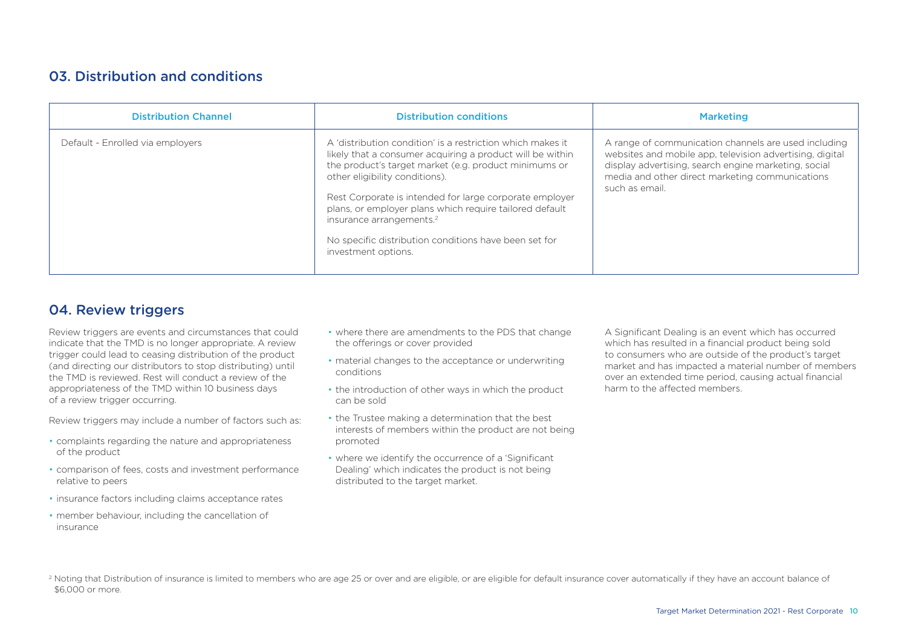## 03. Distribution and conditions

| <b>Distribution Channel</b>      | <b>Distribution conditions</b>                                                                                                                                                                                                                                                                                                                                                                                                                                   | <b>Marketing</b>                                                                                                                                                                                                                              |
|----------------------------------|------------------------------------------------------------------------------------------------------------------------------------------------------------------------------------------------------------------------------------------------------------------------------------------------------------------------------------------------------------------------------------------------------------------------------------------------------------------|-----------------------------------------------------------------------------------------------------------------------------------------------------------------------------------------------------------------------------------------------|
| Default - Enrolled via employers | A 'distribution condition' is a restriction which makes it<br>likely that a consumer acquiring a product will be within<br>the product's target market (e.g. product minimums or<br>other eligibility conditions).<br>Rest Corporate is intended for large corporate employer<br>plans, or employer plans which require tailored default<br>insurance arrangements. <sup>2</sup><br>No specific distribution conditions have been set for<br>investment options. | A range of communication channels are used including<br>websites and mobile app, television advertising, digital<br>display advertising, search engine marketing, social<br>media and other direct marketing communications<br>such as email. |

## 04. Review triggers

Review triggers are events and circumstances that could indicate that the TMD is no longer appropriate. A review trigger could lead to ceasing distribution of the product (and directing our distributors to stop distributing) until the TMD is reviewed. Rest will conduct a review of the appropriateness of the TMD within 10 business days of a review trigger occurring.

Review triggers may include a number of factors such as:

- complaints regarding the nature and appropriateness of the product
- comparison of fees, costs and investment performance relative to peers
- insurance factors including claims acceptance rates
- member behaviour, including the cancellation of insurance
- where there are amendments to the PDS that change the offerings or cover provided
- material changes to the acceptance or underwriting conditions
- the introduction of other ways in which the product can be sold
- the Trustee making a determination that the best interests of members within the product are not being promoted
- where we identify the occurrence of a 'Significant Dealing' which indicates the product is not being distributed to the target market.

A Significant Dealing is an event which has occurred which has resulted in a financial product being sold to consumers who are outside of the product's target market and has impacted a material number of members over an extended time period, causing actual financial harm to the affected members.

<sup>2</sup> Noting that Distribution of insurance is limited to members who are age 25 or over and are eligible, or are eligible for default insurance cover automatically if they have an account balance of \$6,000 or more.